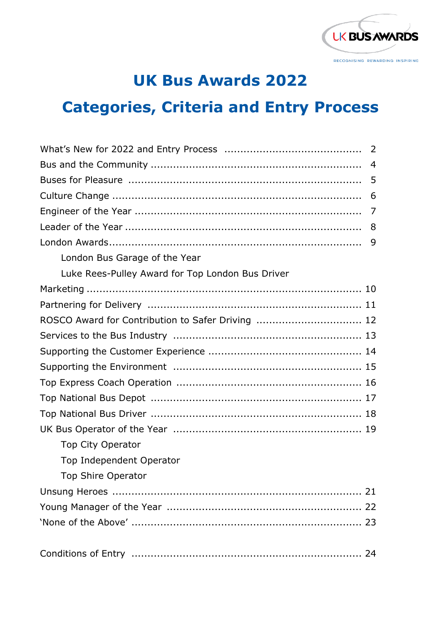

### **UK Bus Awards 2022**

# **Categories, Criteria and Entry Process**

|                                                   | $\overline{4}$ |
|---------------------------------------------------|----------------|
|                                                   | 5              |
|                                                   | 6              |
|                                                   | 7              |
|                                                   | 8              |
|                                                   | 9              |
| London Bus Garage of the Year                     |                |
| Luke Rees-Pulley Award for Top London Bus Driver  |                |
|                                                   |                |
|                                                   |                |
| ROSCO Award for Contribution to Safer Driving  12 |                |
|                                                   |                |
|                                                   |                |
|                                                   |                |
|                                                   |                |
|                                                   |                |
|                                                   |                |
|                                                   |                |
| Top City Operator                                 |                |
| Top Independent Operator                          |                |
| Top Shire Operator                                |                |
|                                                   |                |
|                                                   |                |
|                                                   |                |
|                                                   |                |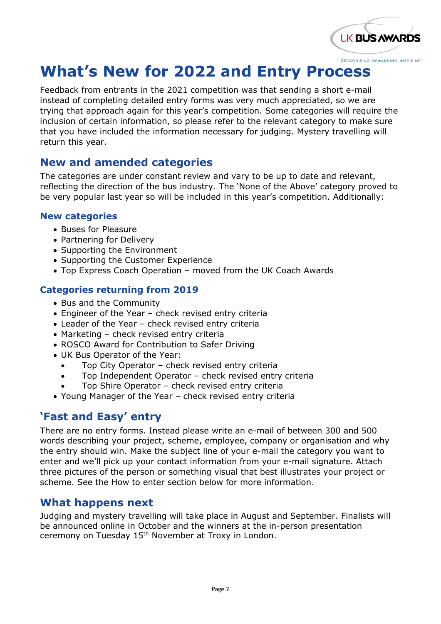

## **What's New for 2022 and Entry Process**

Feedback from entrants in the 2021 competition was that sending a short e-mail instead of completing detailed entry forms was very much appreciated, so we are trying that approach again for this year's competition. Some categories will require the inclusion of certain information, so please refer to the relevant category to make sure that you have included the information necessary for judging. Mystery travelling will return this year.

#### **New and amended categories**

The categories are under constant review and vary to be up to date and relevant, reflecting the direction of the bus industry. The 'None of the Above' category proved to be very popular last year so will be included in this year's competition. Additionally:

#### **New categories**

- Buses for Pleasure
- Partnering for Delivery
- Supporting the Environment
- Supporting the Customer Experience
- Top Express Coach Operation moved from the UK Coach Awards

#### **Categories returning from 2019**

- Bus and the Community
- Engineer of the Year check revised entry criteria
- Leader of the Year check revised entry criteria
- Marketing check revised entry criteria
- ROSCO Award for Contribution to Safer Driving
- UK Bus Operator of the Year:
	- Top City Operator check revised entry criteria
	- Top Independent Operator check revised entry criteria
	- Top Shire Operator check revised entry criteria
- Young Manager of the Year check revised entry criteria

#### **'Fast and Easy' entry**

There are no entry forms. Instead please write an e-mail of between 300 and 500 words describing your project, scheme, employee, company or organisation and why the entry should win. Make the subject line of your e-mail the category you want to enter and we'll pick up your contact information from your e-mail signature. Attach three pictures of the person or something visual that best illustrates your project or scheme. See the How to enter section below for more information.

#### **What happens next**

Judging and mystery travelling will take place in August and September. Finalists will be announced online in October and the winners at the in-person presentation ceremony on Tuesday 15th November at Troxy in London.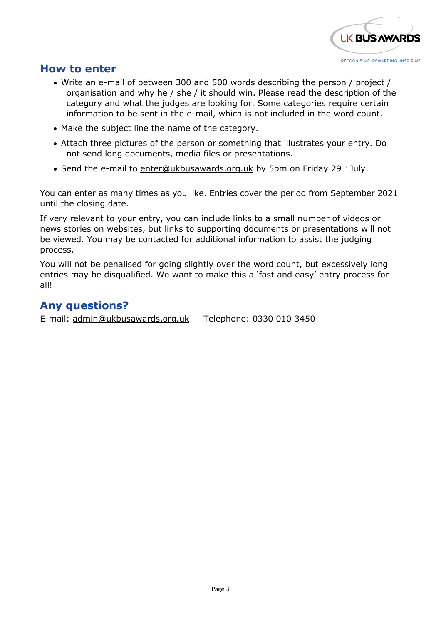

#### **How to enter**

- Write an e-mail of between 300 and 500 words describing the person / project / organisation and why he / she / it should win. Please read the description of the category and what the judges are looking for. Some categories require certain information to be sent in the e-mail, which is not included in the word count.
- Make the subject line the name of the category.
- Attach three pictures of the person or something that illustrates your entry. Do not send long documents, media files or presentations.
- Send the e-mail to [enter@ukbusawards.org.uk](mailto:enter@ukbusawards.org.uk) by 5pm on Friday 29<sup>th</sup> July.

You can enter as many times as you like. Entries cover the period from September 2021 until the closing date.

If very relevant to your entry, you can include links to a small number of videos or news stories on websites, but links to supporting documents or presentations will not be viewed. You may be contacted for additional information to assist the judging process.

You will not be penalised for going slightly over the word count, but excessively long entries may be disqualified. We want to make this a 'fast and easy' entry process for all!

#### **Any questions?**

E-mail: [admin@ukbusawards.org.uk](mailto:admin@ukbusawards.org.uk) Telephone: 0330 010 3450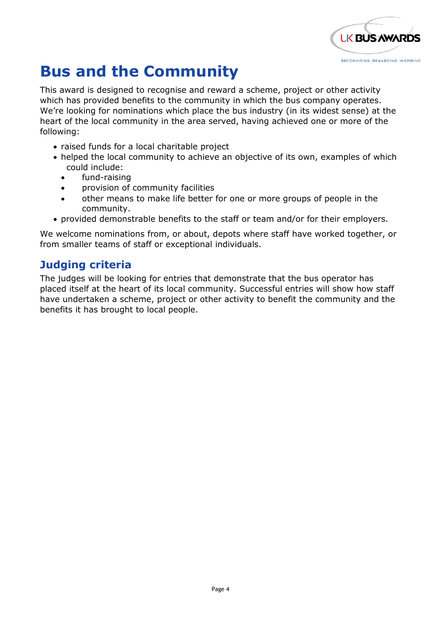

### **Bus and the Community**

This award is designed to recognise and reward a scheme, project or other activity which has provided benefits to the community in which the bus company operates. We're looking for nominations which place the bus industry (in its widest sense) at the heart of the local community in the area served, having achieved one or more of the following:

- raised funds for a local charitable project
- helped the local community to achieve an objective of its own, examples of which could include:
	- fund-raising
	- provision of community facilities
	- other means to make life better for one or more groups of people in the community.
- provided demonstrable benefits to the staff or team and/or for their employers.

We welcome nominations from, or about, depots where staff have worked together, or from smaller teams of staff or exceptional individuals.

#### **Judging criteria**

The judges will be looking for entries that demonstrate that the bus operator has placed itself at the heart of its local community. Successful entries will show how staff have undertaken a scheme, project or other activity to benefit the community and the benefits it has brought to local people.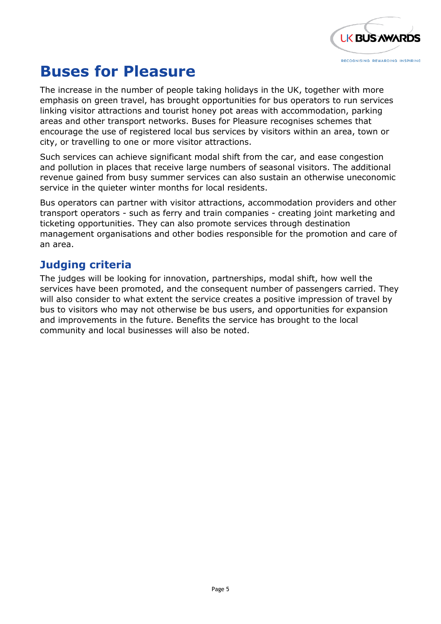

### **Buses for Pleasure**

The increase in the number of people taking holidays in the UK, together with more emphasis on green travel, has brought opportunities for bus operators to run services linking visitor attractions and tourist honey pot areas with accommodation, parking areas and other transport networks. Buses for Pleasure recognises schemes that encourage the use of registered local bus services by visitors within an area, town or city, or travelling to one or more visitor attractions.

Such services can achieve significant modal shift from the car, and ease congestion and pollution in places that receive large numbers of seasonal visitors. The additional revenue gained from busy summer services can also sustain an otherwise uneconomic service in the quieter winter months for local residents.

Bus operators can partner with visitor attractions, accommodation providers and other transport operators - such as ferry and train companies - creating joint marketing and ticketing opportunities. They can also promote services through destination management organisations and other bodies responsible for the promotion and care of an area.

#### **Judging criteria**

The judges will be looking for innovation, partnerships, modal shift, how well the services have been promoted, and the consequent number of passengers carried. They will also consider to what extent the service creates a positive impression of travel by bus to visitors who may not otherwise be bus users, and opportunities for expansion and improvements in the future. Benefits the service has brought to the local community and local businesses will also be noted.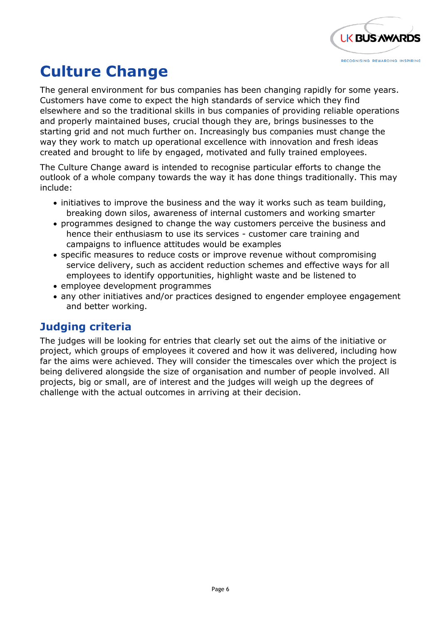

# **Culture Change**

The general environment for bus companies has been changing rapidly for some years. Customers have come to expect the high standards of service which they find elsewhere and so the traditional skills in bus companies of providing reliable operations and properly maintained buses, crucial though they are, brings businesses to the starting grid and not much further on. Increasingly bus companies must change the way they work to match up operational excellence with innovation and fresh ideas created and brought to life by engaged, motivated and fully trained employees.

The Culture Change award is intended to recognise particular efforts to change the outlook of a whole company towards the way it has done things traditionally. This may include:

- initiatives to improve the business and the way it works such as team building, breaking down silos, awareness of internal customers and working smarter
- programmes designed to change the way customers perceive the business and hence their enthusiasm to use its services - customer care training and campaigns to influence attitudes would be examples
- specific measures to reduce costs or improve revenue without compromising service delivery, such as accident reduction schemes and effective ways for all employees to identify opportunities, highlight waste and be listened to
- employee development programmes
- any other initiatives and/or practices designed to engender employee engagement and better working.

#### **Judging criteria**

The judges will be looking for entries that clearly set out the aims of the initiative or project, which groups of employees it covered and how it was delivered, including how far the aims were achieved. They will consider the timescales over which the project is being delivered alongside the size of organisation and number of people involved. All projects, big or small, are of interest and the judges will weigh up the degrees of challenge with the actual outcomes in arriving at their decision.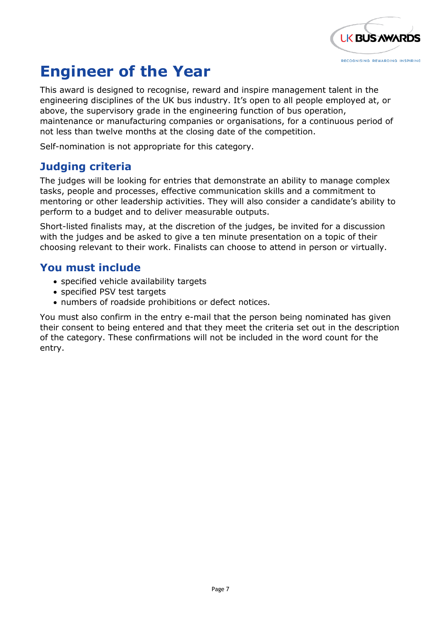

## **Engineer of the Year**

This award is designed to recognise, reward and inspire management talent in the engineering disciplines of the UK bus industry. It's open to all people employed at, or above, the supervisory grade in the engineering function of bus operation, maintenance or manufacturing companies or organisations, for a continuous period of not less than twelve months at the closing date of the competition.

Self-nomination is not appropriate for this category.

#### **Judging criteria**

The judges will be looking for entries that demonstrate an ability to manage complex tasks, people and processes, effective communication skills and a commitment to mentoring or other leadership activities. They will also consider a candidate's ability to perform to a budget and to deliver measurable outputs.

Short-listed finalists may, at the discretion of the judges, be invited for a discussion with the judges and be asked to give a ten minute presentation on a topic of their choosing relevant to their work. Finalists can choose to attend in person or virtually.

#### **You must include**

- specified vehicle availability targets
- specified PSV test targets
- numbers of roadside prohibitions or defect notices.

You must also confirm in the entry e-mail that the person being nominated has given their consent to being entered and that they meet the criteria set out in the description of the category. These confirmations will not be included in the word count for the entry.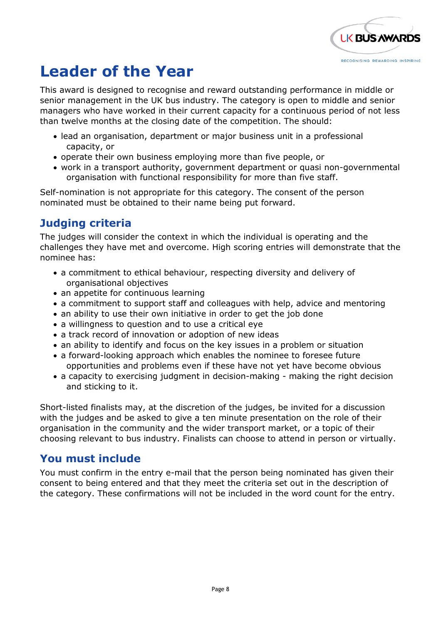

### **Leader of the Year**

This award is designed to recognise and reward outstanding performance in middle or senior management in the UK bus industry. The category is open to middle and senior managers who have worked in their current capacity for a continuous period of not less than twelve months at the closing date of the competition. The should:

- lead an organisation, department or major business unit in a professional capacity, or
- operate their own business employing more than five people, or
- work in a transport authority, government department or quasi non-governmental organisation with functional responsibility for more than five staff.

Self-nomination is not appropriate for this category. The consent of the person nominated must be obtained to their name being put forward.

### **Judging criteria**

The judges will consider the context in which the individual is operating and the challenges they have met and overcome. High scoring entries will demonstrate that the nominee has:

- a commitment to ethical behaviour, respecting diversity and delivery of organisational objectives
- an appetite for continuous learning
- a commitment to support staff and colleagues with help, advice and mentoring
- an ability to use their own initiative in order to get the job done
- a willingness to question and to use a critical eye
- a track record of innovation or adoption of new ideas
- an ability to identify and focus on the key issues in a problem or situation
- a forward-looking approach which enables the nominee to foresee future opportunities and problems even if these have not yet have become obvious
- a capacity to exercising judgment in decision-making making the right decision and sticking to it.

Short-listed finalists may, at the discretion of the judges, be invited for a discussion with the judges and be asked to give a ten minute presentation on the role of their organisation in the community and the wider transport market, or a topic of their choosing relevant to bus industry. Finalists can choose to attend in person or virtually.

#### **You must include**

You must confirm in the entry e-mail that the person being nominated has given their consent to being entered and that they meet the criteria set out in the description of the category. These confirmations will not be included in the word count for the entry.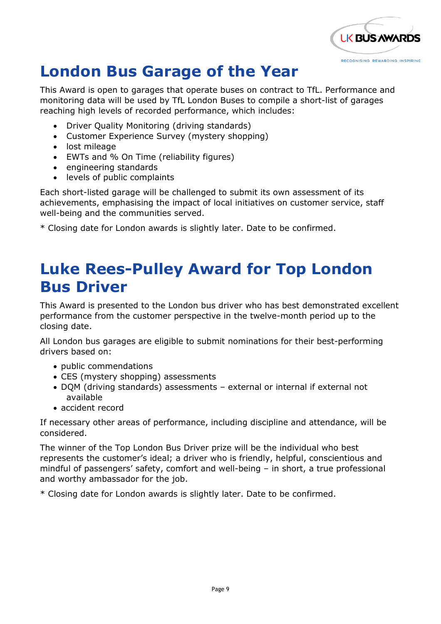

## **London Bus Garage of the Year**

This Award is open to garages that operate buses on contract to TfL. Performance and monitoring data will be used by TfL London Buses to compile a short-list of garages reaching high levels of recorded performance, which includes:

- Driver Quality Monitoring (driving standards)
- Customer Experience Survey (mystery shopping)
- lost mileage
- EWTs and % On Time (reliability figures)
- engineering standards
- levels of public complaints

Each short-listed garage will be challenged to submit its own assessment of its achievements, emphasising the impact of local initiatives on customer service, staff well-being and the communities served.

\* Closing date for London awards is slightly later. Date to be confirmed.

### **Luke Rees-Pulley Award for Top London Bus Driver**

This Award is presented to the London bus driver who has best demonstrated excellent performance from the customer perspective in the twelve-month period up to the closing date.

All London bus garages are eligible to submit nominations for their best-performing drivers based on:

- public commendations
- CES (mystery shopping) assessments
- DQM (driving standards) assessments external or internal if external not available
- accident record

If necessary other areas of performance, including discipline and attendance, will be considered.

The winner of the Top London Bus Driver prize will be the individual who best represents the customer's ideal; a driver who is friendly, helpful, conscientious and mindful of passengers' safety, comfort and well-being – in short, a true professional and worthy ambassador for the job.

\* Closing date for London awards is slightly later. Date to be confirmed.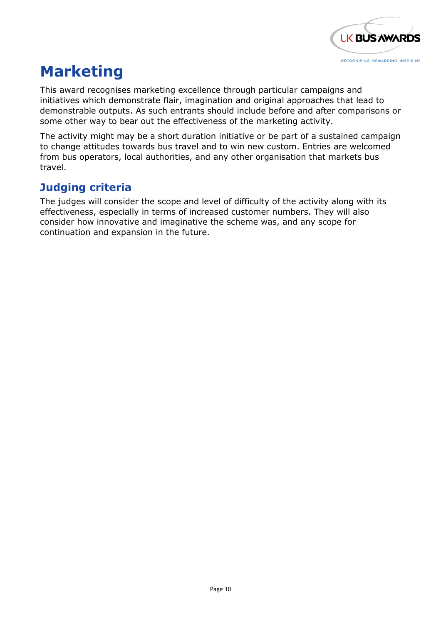

### **Marketing**

This award recognises marketing excellence through particular campaigns and initiatives which demonstrate flair, imagination and original approaches that lead to demonstrable outputs. As such entrants should include before and after comparisons or some other way to bear out the effectiveness of the marketing activity.

The activity might may be a short duration initiative or be part of a sustained campaign to change attitudes towards bus travel and to win new custom. Entries are welcomed from bus operators, local authorities, and any other organisation that markets bus travel.

#### **Judging criteria**

The judges will consider the scope and level of difficulty of the activity along with its effectiveness, especially in terms of increased customer numbers. They will also consider how innovative and imaginative the scheme was, and any scope for continuation and expansion in the future.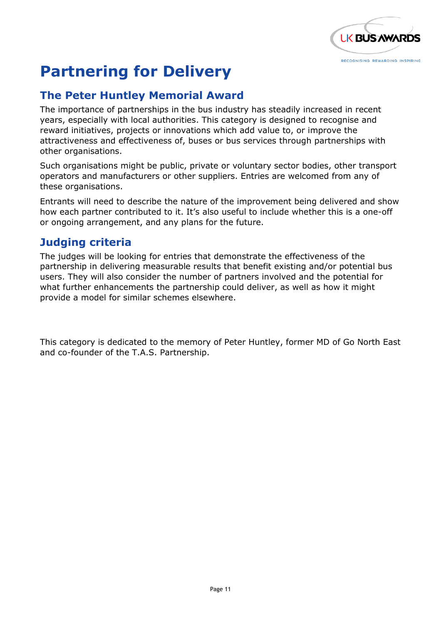

## **Partnering for Delivery**

#### **The Peter Huntley Memorial Award**

The importance of partnerships in the bus industry has steadily increased in recent years, especially with local authorities. This category is designed to recognise and reward initiatives, projects or innovations which add value to, or improve the attractiveness and effectiveness of, buses or bus services through partnerships with other organisations.

Such organisations might be public, private or voluntary sector bodies, other transport operators and manufacturers or other suppliers. Entries are welcomed from any of these organisations.

Entrants will need to describe the nature of the improvement being delivered and show how each partner contributed to it. It's also useful to include whether this is a one-off or ongoing arrangement, and any plans for the future.

#### **Judging criteria**

The judges will be looking for entries that demonstrate the effectiveness of the partnership in delivering measurable results that benefit existing and/or potential bus users. They will also consider the number of partners involved and the potential for what further enhancements the partnership could deliver, as well as how it might provide a model for similar schemes elsewhere.

This category is dedicated to the memory of Peter Huntley, former MD of Go North East and co-founder of the T.A.S. Partnership.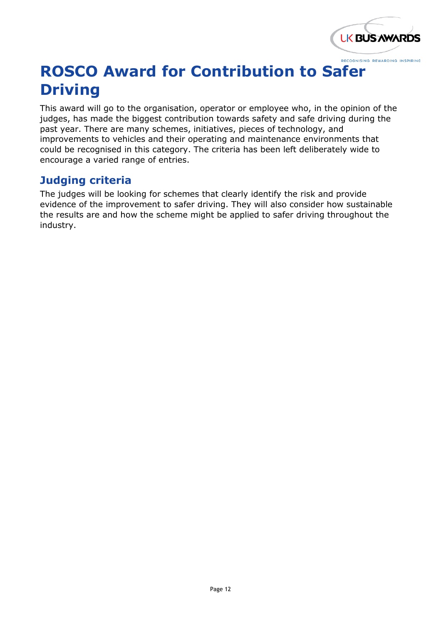

## **ROSCO Award for Contribution to Safer Driving**

This award will go to the organisation, operator or employee who, in the opinion of the judges, has made the biggest contribution towards safety and safe driving during the past year. There are many schemes, initiatives, pieces of technology, and improvements to vehicles and their operating and maintenance environments that could be recognised in this category. The criteria has been left deliberately wide to encourage a varied range of entries.

#### **Judging criteria**

The judges will be looking for schemes that clearly identify the risk and provide evidence of the improvement to safer driving. They will also consider how sustainable the results are and how the scheme might be applied to safer driving throughout the industry.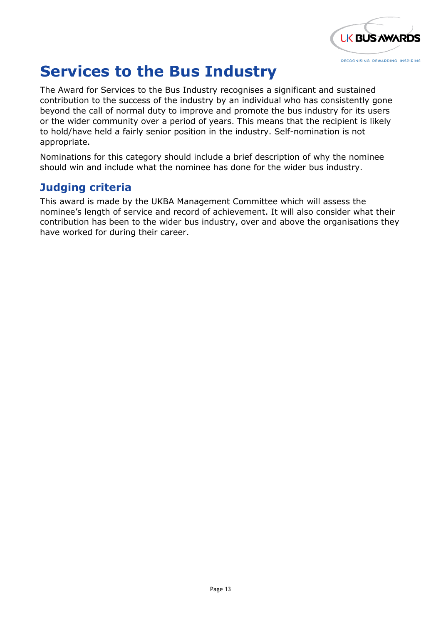

### **Services to the Bus Industry**

The Award for Services to the Bus Industry recognises a significant and sustained contribution to the success of the industry by an individual who has consistently gone beyond the call of normal duty to improve and promote the bus industry for its users or the wider community over a period of years. This means that the recipient is likely to hold/have held a fairly senior position in the industry. Self-nomination is not appropriate.

Nominations for this category should include a brief description of why the nominee should win and include what the nominee has done for the wider bus industry.

#### **Judging criteria**

This award is made by the UKBA Management Committee which will assess the nominee's length of service and record of achievement. It will also consider what their contribution has been to the wider bus industry, over and above the organisations they have worked for during their career.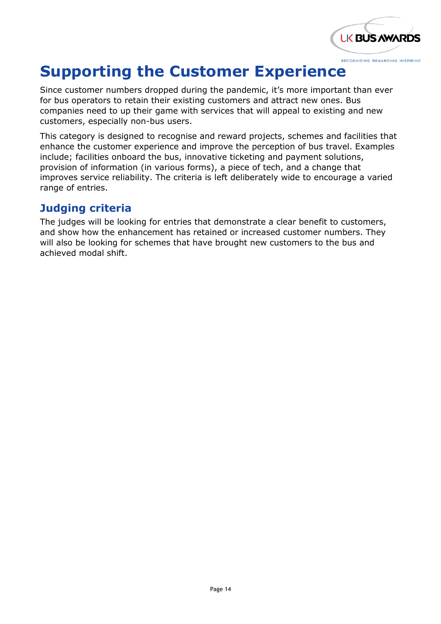

### **Supporting the Customer Experience**

Since customer numbers dropped during the pandemic, it's more important than ever for bus operators to retain their existing customers and attract new ones. Bus companies need to up their game with services that will appeal to existing and new customers, especially non-bus users.

This category is designed to recognise and reward projects, schemes and facilities that enhance the customer experience and improve the perception of bus travel. Examples include; facilities onboard the bus, innovative ticketing and payment solutions, provision of information (in various forms), a piece of tech, and a change that improves service reliability. The criteria is left deliberately wide to encourage a varied range of entries.

#### **Judging criteria**

The judges will be looking for entries that demonstrate a clear benefit to customers, and show how the enhancement has retained or increased customer numbers. They will also be looking for schemes that have brought new customers to the bus and achieved modal shift.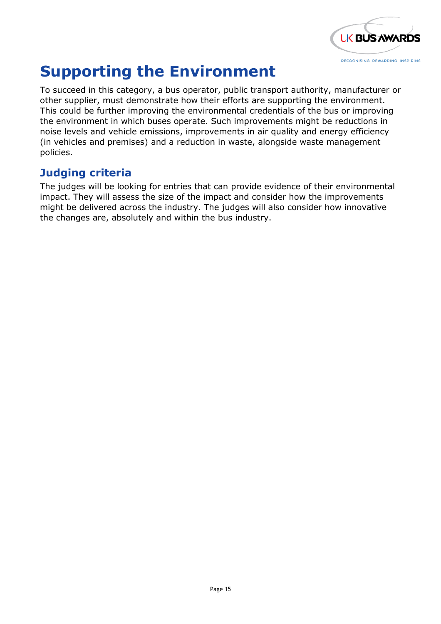

### **Supporting the Environment**

To succeed in this category, a bus operator, public transport authority, manufacturer or other supplier, must demonstrate how their efforts are supporting the environment. This could be further improving the environmental credentials of the bus or improving the environment in which buses operate. Such improvements might be reductions in noise levels and vehicle emissions, improvements in air quality and energy efficiency (in vehicles and premises) and a reduction in waste, alongside waste management policies.

#### **Judging criteria**

The judges will be looking for entries that can provide evidence of their environmental impact. They will assess the size of the impact and consider how the improvements might be delivered across the industry. The judges will also consider how innovative the changes are, absolutely and within the bus industry.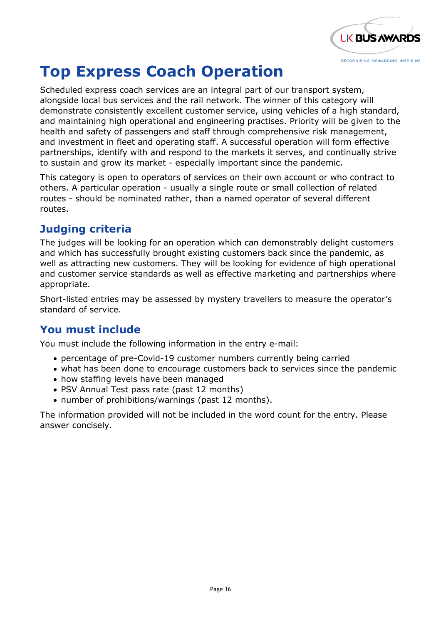

# **Top Express Coach Operation**

Scheduled express coach services are an integral part of our transport system, alongside local bus services and the rail network. The winner of this category will demonstrate consistently excellent customer service, using vehicles of a high standard, and maintaining high operational and engineering practises. Priority will be given to the health and safety of passengers and staff through comprehensive risk management, and investment in fleet and operating staff. A successful operation will form effective partnerships, identify with and respond to the markets it serves, and continually strive to sustain and grow its market - especially important since the pandemic.

This category is open to operators of services on their own account or who contract to others. A particular operation - usually a single route or small collection of related routes - should be nominated rather, than a named operator of several different routes.

### **Judging criteria**

The judges will be looking for an operation which can demonstrably delight customers and which has successfully brought existing customers back since the pandemic, as well as attracting new customers. They will be looking for evidence of high operational and customer service standards as well as effective marketing and partnerships where appropriate.

Short-listed entries may be assessed by mystery travellers to measure the operator's standard of service.

### **You must include**

You must include the following information in the entry e-mail:

- percentage of pre-Covid-19 customer numbers currently being carried
- what has been done to encourage customers back to services since the pandemic
- how staffing levels have been managed
- PSV Annual Test pass rate (past 12 months)
- number of prohibitions/warnings (past 12 months).

The information provided will not be included in the word count for the entry. Please answer concisely.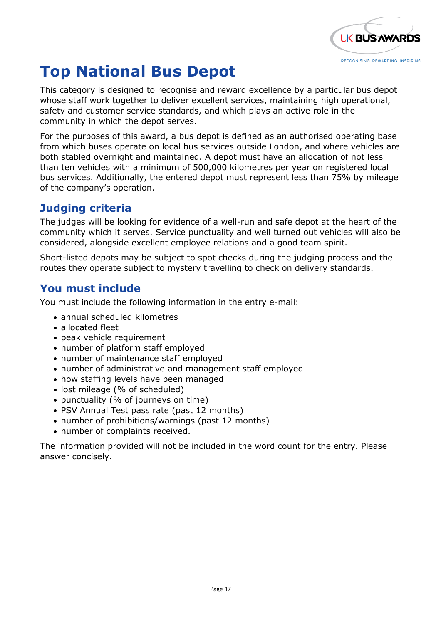

# **Top National Bus Depot**

This category is designed to recognise and reward excellence by a particular bus depot whose staff work together to deliver excellent services, maintaining high operational, safety and customer service standards, and which plays an active role in the community in which the depot serves.

For the purposes of this award, a bus depot is defined as an authorised operating base from which buses operate on local bus services outside London, and where vehicles are both stabled overnight and maintained. A depot must have an allocation of not less than ten vehicles with a minimum of 500,000 kilometres per year on registered local bus services. Additionally, the entered depot must represent less than 75% by mileage of the company's operation.

#### **Judging criteria**

The judges will be looking for evidence of a well-run and safe depot at the heart of the community which it serves. Service punctuality and well turned out vehicles will also be considered, alongside excellent employee relations and a good team spirit.

Short-listed depots may be subject to spot checks during the judging process and the routes they operate subject to mystery travelling to check on delivery standards.

#### **You must include**

You must include the following information in the entry e-mail:

- annual scheduled kilometres
- allocated fleet
- peak vehicle requirement
- number of platform staff employed
- number of maintenance staff employed
- number of administrative and management staff employed
- how staffing levels have been managed
- lost mileage (% of scheduled)
- punctuality (% of journeys on time)
- PSV Annual Test pass rate (past 12 months)
- number of prohibitions/warnings (past 12 months)
- number of complaints received.

The information provided will not be included in the word count for the entry. Please answer concisely.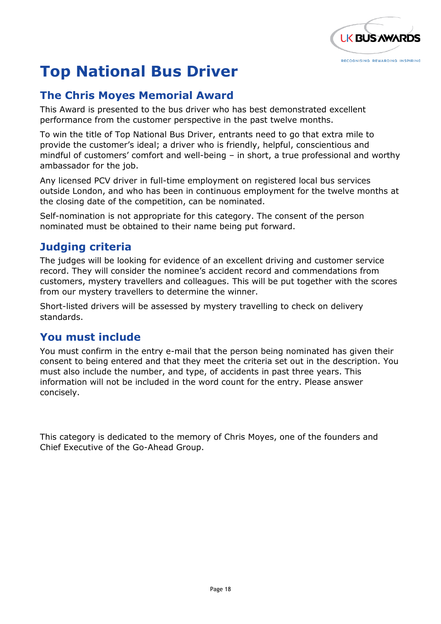

# **Top National Bus Driver**

#### **The Chris Moyes Memorial Award**

This Award is presented to the bus driver who has best demonstrated excellent performance from the customer perspective in the past twelve months.

To win the title of Top National Bus Driver, entrants need to go that extra mile to provide the customer's ideal; a driver who is friendly, helpful, conscientious and mindful of customers' comfort and well-being – in short, a true professional and worthy ambassador for the job.

Any licensed PCV driver in full-time employment on registered local bus services outside London, and who has been in continuous employment for the twelve months at the closing date of the competition, can be nominated.

Self-nomination is not appropriate for this category. The consent of the person nominated must be obtained to their name being put forward.

#### **Judging criteria**

The judges will be looking for evidence of an excellent driving and customer service record. They will consider the nominee's accident record and commendations from customers, mystery travellers and colleagues. This will be put together with the scores from our mystery travellers to determine the winner.

Short-listed drivers will be assessed by mystery travelling to check on delivery standards.

### **You must include**

You must confirm in the entry e-mail that the person being nominated has given their consent to being entered and that they meet the criteria set out in the description. You must also include the number, and type, of accidents in past three years. This information will not be included in the word count for the entry. Please answer concisely.

This category is dedicated to the memory of Chris Moyes, one of the founders and Chief Executive of the Go-Ahead Group.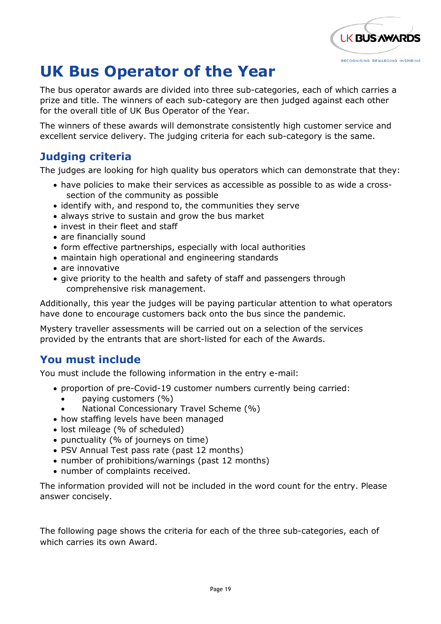

# **UK Bus Operator of the Year**

The bus operator awards are divided into three sub-categories, each of which carries a prize and title. The winners of each sub-category are then judged against each other for the overall title of UK Bus Operator of the Year.

The winners of these awards will demonstrate consistently high customer service and excellent service delivery. The judging criteria for each sub-category is the same.

### **Judging criteria**

The judges are looking for high quality bus operators which can demonstrate that they:

- have policies to make their services as accessible as possible to as wide a crosssection of the community as possible
- identify with, and respond to, the communities they serve
- always strive to sustain and grow the bus market
- invest in their fleet and staff
- are financially sound
- form effective partnerships, especially with local authorities
- maintain high operational and engineering standards
- are innovative
- give priority to the health and safety of staff and passengers through comprehensive risk management.

Additionally, this year the judges will be paying particular attention to what operators have done to encourage customers back onto the bus since the pandemic.

Mystery traveller assessments will be carried out on a selection of the services provided by the entrants that are short-listed for each of the Awards.

#### **You must include**

You must include the following information in the entry e-mail:

- proportion of pre-Covid-19 customer numbers currently being carried:
	- paying customers (%)
	- National Concessionary Travel Scheme (%)
- how staffing levels have been managed
- lost mileage (% of scheduled)
- punctuality (% of journeys on time)
- PSV Annual Test pass rate (past 12 months)
- number of prohibitions/warnings (past 12 months)
- number of complaints received.

The information provided will not be included in the word count for the entry. Please answer concisely.

The following page shows the criteria for each of the three sub-categories, each of which carries its own Award.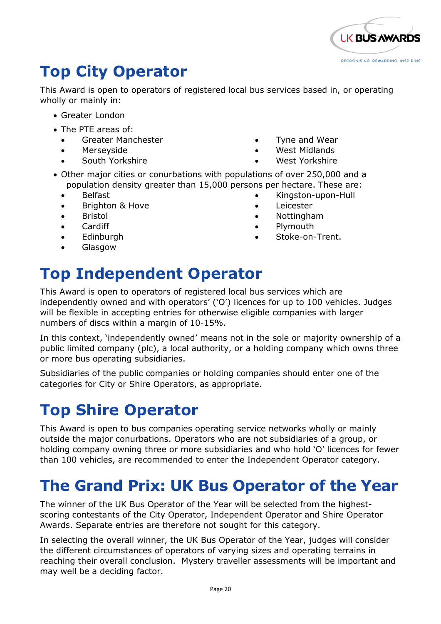

### **Top City Operator**

This Award is open to operators of registered local bus services based in, or operating wholly or mainly in:

- Greater London
- The PTE areas of:
	- Greater Manchester
	- **Merseyside**
	- South Yorkshire
- Tyne and Wear
- West Midlands
- West Yorkshire
- Other major cities or conurbations with populations of over 250,000 and a population density greater than 15,000 persons per hectare. These are:
	- Belfast
	- Brighton & Hove
	- **Bristol**
	- Cardiff
	- **Edinburgh**
	- Glasgow
- Kingston-upon-Hull
- Leicester
- Nottingham
- Plymouth
- Stoke-on-Trent.

# **Top Independent Operator**

This Award is open to operators of registered local bus services which are independently owned and with operators' ('O') licences for up to 100 vehicles. Judges will be flexible in accepting entries for otherwise eligible companies with larger numbers of discs within a margin of 10-15%.

In this context, 'independently owned' means not in the sole or majority ownership of a public limited company (plc), a local authority, or a holding company which owns three or more bus operating subsidiaries.

Subsidiaries of the public companies or holding companies should enter one of the categories for City or Shire Operators, as appropriate.

### **Top Shire Operator**

This Award is open to bus companies operating service networks wholly or mainly outside the major conurbations. Operators who are not subsidiaries of a group, or holding company owning three or more subsidiaries and who hold 'O' licences for fewer than 100 vehicles, are recommended to enter the Independent Operator category.

### **The Grand Prix: UK Bus Operator of the Year**

The winner of the UK Bus Operator of the Year will be selected from the highestscoring contestants of the City Operator, Independent Operator and Shire Operator Awards. Separate entries are therefore not sought for this category.

In selecting the overall winner, the UK Bus Operator of the Year, judges will consider the different circumstances of operators of varying sizes and operating terrains in reaching their overall conclusion. Mystery traveller assessments will be important and may well be a deciding factor.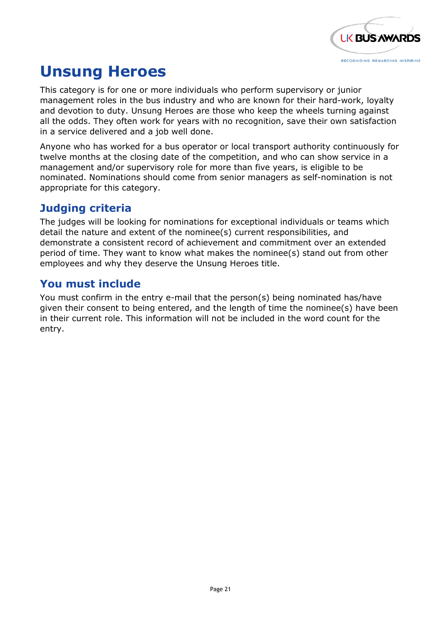

### **Unsung Heroes**

This category is for one or more individuals who perform supervisory or junior management roles in the bus industry and who are known for their hard-work, loyalty and devotion to duty. Unsung Heroes are those who keep the wheels turning against all the odds. They often work for years with no recognition, save their own satisfaction in a service delivered and a job well done.

Anyone who has worked for a bus operator or local transport authority continuously for twelve months at the closing date of the competition, and who can show service in a management and/or supervisory role for more than five years, is eligible to be nominated. Nominations should come from senior managers as self-nomination is not appropriate for this category.

#### **Judging criteria**

The judges will be looking for nominations for exceptional individuals or teams which detail the nature and extent of the nominee(s) current responsibilities, and demonstrate a consistent record of achievement and commitment over an extended period of time. They want to know what makes the nominee(s) stand out from other employees and why they deserve the Unsung Heroes title.

#### **You must include**

You must confirm in the entry e-mail that the person(s) being nominated has/have given their consent to being entered, and the length of time the nominee(s) have been in their current role. This information will not be included in the word count for the entry.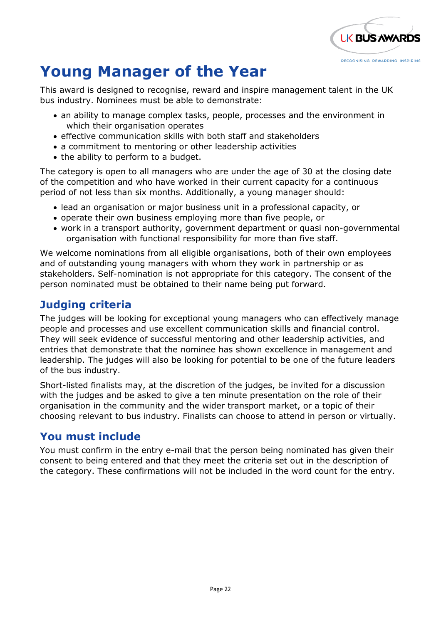

### **Young Manager of the Year**

This award is designed to recognise, reward and inspire management talent in the UK bus industry. Nominees must be able to demonstrate:

- an ability to manage complex tasks, people, processes and the environment in which their organisation operates
- effective communication skills with both staff and stakeholders
- a commitment to mentoring or other leadership activities
- the ability to perform to a budget.

The category is open to all managers who are under the age of 30 at the closing date of the competition and who have worked in their current capacity for a continuous period of not less than six months. Additionally, a young manager should:

- lead an organisation or major business unit in a professional capacity, or
- operate their own business employing more than five people, or
- work in a transport authority, government department or quasi non-governmental organisation with functional responsibility for more than five staff.

We welcome nominations from all eligible organisations, both of their own employees and of outstanding young managers with whom they work in partnership or as stakeholders. Self-nomination is not appropriate for this category. The consent of the person nominated must be obtained to their name being put forward.

### **Judging criteria**

The judges will be looking for exceptional young managers who can effectively manage people and processes and use excellent communication skills and financial control. They will seek evidence of successful mentoring and other leadership activities, and entries that demonstrate that the nominee has shown excellence in management and leadership. The judges will also be looking for potential to be one of the future leaders of the bus industry.

Short-listed finalists may, at the discretion of the judges, be invited for a discussion with the judges and be asked to give a ten minute presentation on the role of their organisation in the community and the wider transport market, or a topic of their choosing relevant to bus industry. Finalists can choose to attend in person or virtually.

#### **You must include**

You must confirm in the entry e-mail that the person being nominated has given their consent to being entered and that they meet the criteria set out in the description of the category. These confirmations will not be included in the word count for the entry.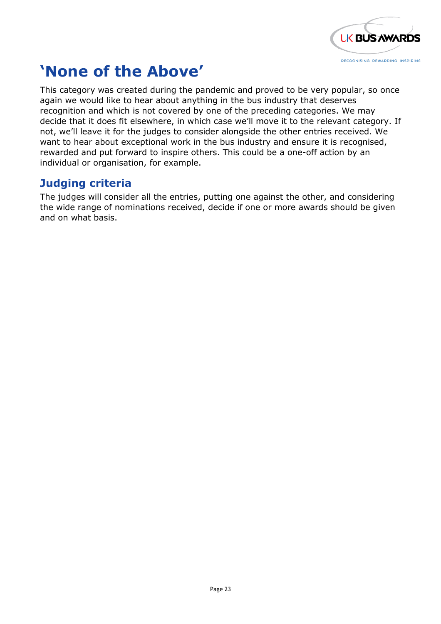

### **'None of the Above'**

This category was created during the pandemic and proved to be very popular, so once again we would like to hear about anything in the bus industry that deserves recognition and which is not covered by one of the preceding categories. We may decide that it does fit elsewhere, in which case we'll move it to the relevant category. If not, we'll leave it for the judges to consider alongside the other entries received. We want to hear about exceptional work in the bus industry and ensure it is recognised, rewarded and put forward to inspire others. This could be a one-off action by an individual or organisation, for example.

#### **Judging criteria**

The judges will consider all the entries, putting one against the other, and considering the wide range of nominations received, decide if one or more awards should be given and on what basis.